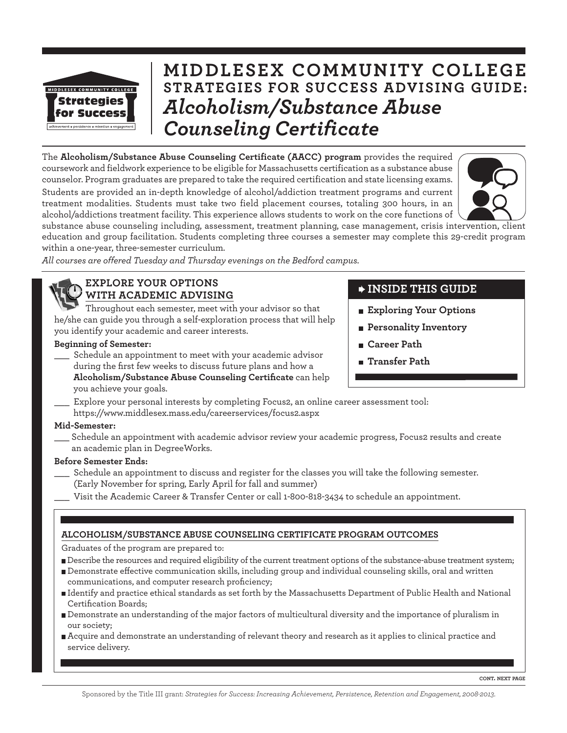

# **MIDDLESEX COMMUNITY COLLEGE STRATEGIES FOR SUCCESS ADVISING GUIDE:** *Alcoholism/Substance Abuse*

The **Alcoholism/Substance Abuse Counseling Certificate (AACC) program** provides the required *Counseling Certificate* coursework and fieldwork experience to be eligible for Massachusetts certification as a substance abuse counselor. Program graduates are prepared to take the required certification and state licensing exams. Students are provided an in-depth knowledge of alcohol/addiction treatment programs and current treatment modalities. Students must take two field placement courses, totaling 300 hours, in an alcohol/addictions treatment facility. This experience allows students to work on the core functions of



substance abuse counseling including, assessment, treatment planning, case management, crisis intervention, client education and group facilitation. Students completing three courses a semester may complete this 29-credit program within a one-year, three-semester curriculum.

*All courses are offered Tuesday and Thursday evenings on the Bedford campus.*

### **EXPLORE YOUR OPTIONS WITH ACADEMIC ADVISING**

Throughout each semester, meet with your advisor so that he/she can guide you through a self-exploration process that will help you identify your academic and career interests.

### **Beginning of Semester:**

\_\_\_ Schedule an appointment to meet with your academic advisor during the first few weeks to discuss future plans and how a **Alcoholism/Substance Abuse Counseling Certificate** can help you achieve your goals.

### **INSIDE THIS GUIDE**

- **Exploring Your Options**
- **Personality Inventory**
- **Career Path**
- **Transfer Path**
- Explore your personal interests by completing Focus2, an online career assessment tool: https://www.middlesex.mass.edu/careerservices/focus2.aspx

### **Mid-Semester:**

\_\_\_ Schedule an appointment with academic advisor review your academic progress, Focus2 results and create an academic plan in DegreeWorks.

### **Before Semester Ends:**

- Schedule an appointment to discuss and register for the classes you will take the following semester. (Early November for spring, Early April for fall and summer)
- Visit the Academic Career & Transfer Center or call 1-800-818-3434 to schedule an appointment.

### **ALCOHOLISM/SUBSTANCE ABUSE COUNSELING CERTIFICATE PROGRAM OUTCOMES**

Graduates of the program are prepared to:

- Describe the resources and required eligibility of the current treatment options of the substance-abuse treatment system;
- Demonstrate effective communication skills, including group and individual counseling skills, oral and written communications, and computer research proficiency;
- Identify and practice ethical standards as set forth by the Massachusetts Department of Public Health and National Certification Boards;
- Demonstrate an understanding of the major factors of multicultural diversity and the importance of pluralism in our society;
- Acquire and demonstrate an understanding of relevant theory and research as it applies to clinical practice and service delivery.